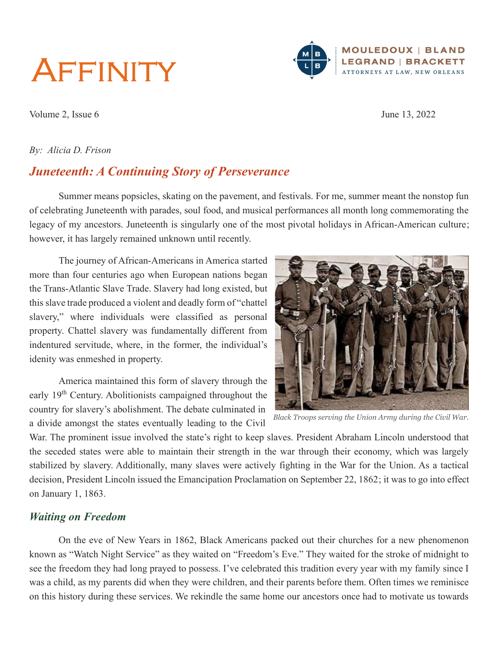# **AFFINITY**



Volume 2, Issue 6 June 13, 2022

#### By: Alicia D. Frison

## Juneteenth: A Continuing Story of Perseverance

Summer means popsicles, skating on the pavement, and festivals. For me, summer meant the nonstop fun of celebrating Juneteenth with parades, soul food, and musical performances all month long commemorating the legacy of my ancestors. Juneteenth is singularly one of the most pivotal holidays in African-American culture; however, it has largely remained unknown until recently.

 The journey of African-Americans in America started more than four centuries ago when European nations began the Trans-Atlantic Slave Trade. Slavery had long existed, but this slave trade produced a violent and deadly form of "chattel slavery," where individuals were classified as personal property. Chattel slavery was fundamentally different from indentured servitude, where, in the former, the individual's idenity was enmeshed in property.

America maintained this form of slavery through the early 19<sup>th</sup> Century. Abolitionists campaigned throughout the country for slavery's abolishment. The debate culminated in a divide amongst the states eventually leading to the Civil



Black Troops serving the Union Army during the Civil War.

War. The prominent issue involved the state's right to keep slaves. President Abraham Lincoln understood that the seceded states were able to maintain their strength in the war through their economy, which was largely stabilized by slavery. Additionally, many slaves were actively fighting in the War for the Union. As a tactical decision, President Lincoln issued the Emancipation Proclamation on September 22, 1862; it was to go into effect on January 1, 1863.

## Waiting on Freedom

 On the eve of New Years in 1862, Black Americans packed out their churches for a new phenomenon known as "Watch Night Service" as they waited on "Freedom's Eve." They waited for the stroke of midnight to see the freedom they had long prayed to possess. I've celebrated this tradition every year with my family since I was a child, as my parents did when they were children, and their parents before them. Often times we reminisce on this history during these services. We rekindle the same home our ancestors once had to motivate us towards